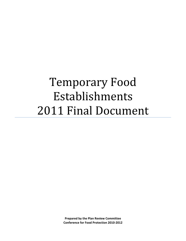# Temporary Food Establishments 2011 Final Document

**Prepared by the Plan Review Committee Conference for Food Protection 2010-2012**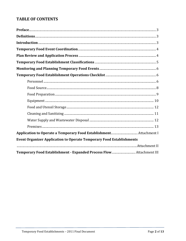## **TABLE OF CONTENTS**

| <b>Event Organizer Application to Operate Temporary Food Establishments</b> |  |
|-----------------------------------------------------------------------------|--|
|                                                                             |  |
|                                                                             |  |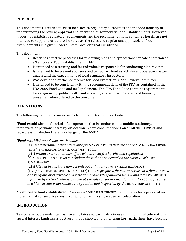## **PREFACE**

This document is intended to assist local health regulatory authorities and the food industry in understanding the review, approval and operation of Temporary Food Establishments. However, it does not establish regulatory requirements and the recommendations contained herein are not intended to supplant, or otherwise serve as, the rules and regulations applicable to food establishments in a given Federal, State, local or tribal jurisdiction.

This document:

- Describes effective processes for reviewing plans and applications for safe operation of a Temporary Food Establishment (TFE).
- Is intended as a training tool for individuals responsible for conducting plan reviews.
- Is intended to help event sponsors and temporary food establishment operators better understand the expectations of local regulatory inspectors.
- Was developed by the Conference for Food Protection's Plan Review Committee.
- Is intended to be consistent with the recommendations of the FDA as contained in the FDA 2009 Food Code and its Supplement. The FDA Food Code contains requirements for safeguarding public health and ensuring food is unadulterated and honestly presented when offered to the consumer.

#### **DEFINITIONS**

The following definitions are excerpts from the FDA 2009 Food Code.

**"Food establishment"** includes "an operation that is conducted in a mobile, stationary, temporary, or permanent facility or location; where consumption is on or off the PREMISES; and regardless of whether there is a charge for the FOOD."

#### **"***Food establishment***"** *does not include:*

(a) *An establishment that offers only pre*PACKAGED FOODS *that are not* POTENTIALLY HAZARDOUS (TIME/TEMPERATURE CONTROL FOR SAFETY) FOODS;

(b) *A produce stand that only offers whole, uncut fresh fruits and vegetables*;

(c) *A* FOOD PROCESSING PLANT*; including those that are located on the PREMISES of a FOOD ESTABLISHMENT*

(d) *A kitchen in a private home if only* FOOD *that is not* POTENTIALLY HAZARDOUS (TIME/TEMPERATURE CONTROL FOR SAFETY) FOOD, *is prepared for sale or service at a function such as a religious or charitable organization's bake sale if allowed by* LAW *and if the* CONSUMER *is informed by a clearly visible placard at the sales or service location that the FOOD is prepared in a kitchen that is not subject to regulation and inspection by the REGULATORY AUTHORITY;* 

**"Temporary food establishment"** means a FOOD ESTABLISHMENT that operates for a period of no more than 14 consecutive days in conjunction with a single event or celebration.

## **INTRODUCTION**

Temporary food events, such as traveling fairs and carnivals, circuses, multicultural celebrations, special interest fundraisers, restaurant food shows, and other transitory gatherings, have become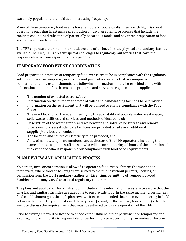extremely popular and are held at an increasing frequency.

Many of these temporary food events have temporary food establishments with high risk food operations engaging in extensive preparation of raw ingredients; processes that include the cooking, cooling, and reheating of potentially hazardous foods; and advanced preparation of food several days prior to service.

The TFEs operate either indoors or outdoors and often have limited physical and sanitary facilities available. As such, TFEs present special challenges to regulatory authorities that have the responsibility to license/permit and inspect them.

## **TEMPORARY FOOD EVENT COORDINATION**

Food preparation practices at temporary food events are to be in compliance with the regulatory authority. Because temporary events present particular concerns that are unique to nonpermanent food establishments, the following information should be provided along with information about the food items to be prepared and served, as required on the application:

- The number of expected patrons/day;
- Information on the number and type of toilet and handwashing facilities to be provided;
- Information on the equipment that will be utilized to ensure compliance with the Food Code;
- The exact location of the event identifying the availability of potable water, wastewater, solid waste facilities and services, and methods of dust control;
- Description of the water supply and wastewater and solid waste storage and removal provisions to assess if adequate facilities are provided on site or if additional supplies/services are needed;
- The location and source of electricity to be provided; and
- A list of names, telephone numbers, and addresses of the TFE operators, including the name of the designated staff person who will be on site during all hours of the operation of the event and who is responsible for compliance with food code requirements.

## **PLAN REVIEW AND APPLICATION PROCESS**

No person, firm, or corporation is allowed to operate a food establishment (permanent or temporary) where food or beverages are served to the public without permits, licenses, or permission from the local regulatory authority. Licensing/permitting of Temporary Food Establishments may vary due to local regulatory requirements.

The plans and application for a TFE should include all the information necessary to assure that the physical and sanitary facilities are adequate to ensure safe food, in the same manner a permanent food establishment goes through plan review. It is recommended that a pre-event meeting be held between the regulatory authority and the applicant(s) and/or the primary food vendor(s) for the event to discuss the requirements that must be adhered to for safe operation of the TFE.

Prior to issuing a permit or license to a food establishment, either permanent or temporary, the local regulatory authority is responsible for performing a pre-operational plan review. The pre-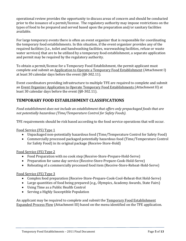operational review provides the opportunity to discuss areas of concern and should be conducted prior to the issuance of a permit/license. The regulatory authority may impose restrictions on the types of food to be prepared and served based upon the preparation and/or sanitary facilities available.

For large temporary events there is often an event organizer that is responsible for coordinating the temporary food establishments. In this situation, if the event organizer provides any of the required facilities (i.e., toilet and handwashing facilities, warewashing facilities, refuse or waste water services) that are to be utilized by a temporary food establishment, a separate application and permit may be required by the regulatory authority.

To obtain a permit/license for a Temporary Food Establishment, the permit applicant must complete and submit an Application to Operate a Temporary Food Establishment (Attachment I) at least 30 calendar days before the event (§8-302.11).

Event coordinators providing infrastructure to multiple TFE are required to complete and submit an Event Organizer Application to Operate Temporary Food Establishments (Attachment II) at least 30 calendar days before the event (§8-302.11).

## **TEMPORARY FOOD ESTABLISHMENT CLASSIFICATIONS**

*Food establishment does not include an establishment that offers only prepackaged foods that are not potentially hazardous (Time/Temperature Control for Safety Foods).* 

TFE requirements should be risk based according to the food service operations that will occur.

Food Service (FS) Type 1

- Unpackaged non-potentially hazardous food (Time/Temperature Control for Safety Food)
- Commercially processed packaged potentially hazardous food (Time/Temperature Control for Safety Food) in its original package (Receive-Store-Hold)

Food Service (FS) Type 2

- Food Preparation with no cook step (Receive-Store-Prepare-Hold-Serve)
- Preparation for same day service (Receive-Store-Prepare-Cook-Hold-Serve)
- Reheating of a commercially processed food item (Receive-Store-Reheat-Hold-Serve)

#### Food Service (FS) Type 3

- Complex food preparation (Receive-Store-Prepare-Cook-Cool-Reheat-Hot Hold-Serve)
- Large quantities of food being prepared (e.g., Olympics, Academy Awards, State Fairs)
- Using Time as a Public Health Control
- Serving a Highly Susceptible Population

An applicant may be required to complete and submit the Temporary Food Establishment Expanded Process Flow (Attachment III) based on the menu identified on the TFE application.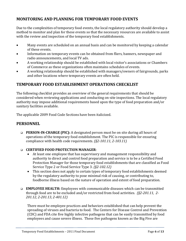## **MONITORING AND PLANNING FOR TEMPORARY FOOD EVENTS**

Due to the complexities of temporary food events, the local regulatory authority should develop a method to monitor and plan for these events so that the necessary resources are available to assist with the review and inspection of the temporary food establishments.

- Many events are scheduled on an annual basis and can be monitored by keeping a calendar of these events.
- Information on temporary events can be obtained from fliers, banners, newspaper and radio announcements, and local TV ads.
- A working relationship should be established with local visitor's associations or Chambers of Commerce as these organizations often maintains schedules of events.
- A working relationship should be established with managers/owners of fairgrounds, parks and other locations where temporary events are often held.

## **TEMPORARY FOOD ESTABLISHMENT OPERATIONS CHECKLIST**

The following checklist provides an overview of the general requirements that should be considered when reviewing applications and conducting on-site inspections. The local regulatory authority may impose additional requirements based upon the type of food preparation and/or sanitary facilities available.

The applicable 2009 Food Code Sections have been italicized.

## **PERSONNEL**

- **PERSON-IN-CHARGE (PIC):** A designated person must be on site during all hours of operations of the temporary food establishment. The PIC is responsible for ensuring compliance with health code requirements. *(§2-101.11, 2-103.11)*
- **CERTIFIED FOOD PROTECTION MANAGER**:
	- At least one employee that has supervisory and management responsibility and authority to direct and control food preparation and service is to be a Certified Food Protection Manager for those temporary food establishments that are classified as Food Service Type 2 or Food Service Type 3. *(§2-102.12)*
	- This section does not apply to certain types of temporary food establishments deemed by the regulatory authority to pose minimal risk of causing, or contributing to, foodborne illness based on the nature of operation and extent of food preparation.
- **EMPLOYEE HEALTH:** Employees with communicable diseases which can be transmitted through food are to be excluded and/or restricted from food activities. *(§2-201.11, 2- 201.12, 2-201.13, 2-401.12)*

There must be employee practices and behaviors established that can help prevent the spreading of viruses and bacteria to food. The Centers for Disease Control and Prevention (CDC) and FDA cite five highly infective pathogens that can be easily transmitted by food employees and cause severe illness. These five pathogens known as the Big Five are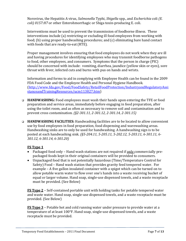Norovirus, the Hepatitis A virus, *Salmonella* Typhi, *Shigella* spp., and *Escherichia* coli *(E. coli) 0157:H7* or other Enterohmorrhagic or Shiga toxin-producing E. coli.

Interventions must be used to prevent the transmission of foodborne illness. These interventions include (a) restricting or excluding ill food employees from working with food; (b) using proper handwashing procedures; and (c) eliminating bare hand contact with foods that are ready-to-eat (RTE).

Proper management involves ensuring that food employees do not work when they are ill and having procedures for identifying employees who may transmit foodborne pathogens to food, other employees, and consumers. Symptoms that the person in charge (PIC) should be concerned with include: vomiting, diarrhea, jaundice (yellow skin or eyes), sore throat with fever, infected cuts and burns with pus on hands and wrists.

Information and forms to aid in complying with Employee Health can be found in the 2009 FDA Food Code and the Employee Health and Personal Hygiene Handbook. [\(http://www.fda.gov/Food/FoodSafety/RetailFoodProtection/IndustryandRegulatoryAssi](http://www.fda.gov/Food/FoodSafety/RetailFoodProtection/IndustryandRegulatoryAssistanceandTrainingResources/ucm113827.htm) [stanceandTrainingResources/ucm113827.htm\)](http://www.fda.gov/Food/FoodSafety/RetailFoodProtection/IndustryandRegulatoryAssistanceandTrainingResources/ucm113827.htm)

- **HANDWASHING:** Food employees must wash their hands upon entering the TFE or food preparation and service areas, immediately before engaging in food preparation, after using the toilet room, and as often as necessary to remove soil and contamination and to prevent cross contamination. *(§2-301.11, 2-301.12, 2-301.14, 2-301.15)*
- **HANDWASHING FACILITIES:** Handwashing facilities are to be located to allow convenient use by food employees in food preparation, food dispensing and warewashing areas. Handwashing sinks are to only be used for handwashing. A handwashing sign is to be posted at each handwashing sink. *(§5-204.11, 5-205.11, 5-202.12, 5-203.11, 6-301.11, 6- 301.12, 6-301.14, 6-301.20)*

#### **FS Type 1**

- Packaged food only Hand wash stations are not required if only commercially prepackaged foods kept in their original containers will be provided to consumers.
- Unpackaged food that is not potentially hazardous (Time/Temperature Control for Safety) Food – Hand wash station that provides gravity feed tempered water. For example – A five gallon insulated container with a spigot which can be turned on to allow potable warm water to flow over one's hands into a waste receiving bucket of equal or larger volume. Hand soap, single-use dispensed towels, and a waste receptacle must be provided. (See Below)

**FS Type 2** – Self-contained portable unit with holding tanks for potable tempered water and waste water. Hand soap, single-use dispensed towels, and a waste receptacle must be provided. (See Below)

**FS Type 3** – Potable hot and cold running water under pressure to provide water at a temperature of at least 100°F. Hand soap, single-use dispensed towels, and a waste receptacle must be provided.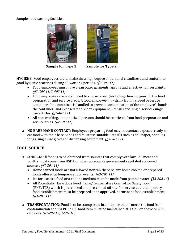Sample handwashing facilities:



**Sample for Type 1 Sample for Type 2**



**HYGIENE:** Food employees are to maintain a high degree of personal cleanliness and conform to good hygienic practices during all working periods. *(§2-302.11)*

- Food employees must have clean outer garments, aprons and effective hair restraints. *(§2-304.11, 2-402.11)*
- Food employees are not allowed to smoke or eat (including chewing gum) in the food preparation and service areas. A food employee may drink from a closed beverage container if the container is handled to prevent contamination of the employee's hands; the container; and exposed food, clean equipment, utensils and single-service/singleuse articles. *(§2-401.11)*
- All non-working, unauthorized persons should be restricted from food preparation and service areas. *(§2-103.11)*
- **NO BARE HAND CONTACT:** Employees preparing food may not contact exposed, ready-toeat food with their bare hands and must use suitable utensils such as deli paper, spatulas, tongs, single-use gloves or dispensing equipment. *(§3-301.11)*

## **FOOD SOURCE**

- **SOURCE:** All food is to be obtained from sources that comply with law. All meat and poultry must come from USDA or other acceptable government regulated approved sources. *(§3-201.11)*
	- Home canned foods are not allowed nor can there be any home cooked or prepared foods offered at temporary food events. *(§3-201.11)*
	- Ice for use as a food or a cooling medium must be made from potable water. *(§3-202.16)*
	- All Potentially Hazardous Food (Time/Temperature Control for Safety Food) (PHF/TCS) which is pre-cooked and pre-cooled off site for service at the temporary food establishment must be prepared at an approved, permanent food establishment. *(§3-201.11)*
- **TRANSPORTATION:** Food is to be transported in a manner that protects the food from contamination and if a PHF/TCS food item must be maintained at 135°F or above or 41°F or below. *(§3-202.15, 3-501.16)*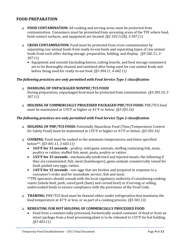## **FOOD PREPARATION**

- **FOOD CONTAMINATION:** All cooking and serving areas must be protected from contamination. Consumers must be prevented from accessing areas of the TFE where food, food-contact surfaces, and equipment are located. *(§2-103.11(B), 3-307.11)*
- **CROSS CONTAMINATION:** Food must be protected from cross contamination by separating raw animal foods from ready-to-eat foods and separating types of raw animal foods from each other during storage, preparation, holding, and display. *(§3-302.11, 3- 307.11)*
	- Equipment and utensils (including knives, cutting boards, and food storage containers) are to be thoroughly cleaned and sanitized after being used for raw animal foods and before being used for ready-to-eat food. *(§3-304.11, 4-602.11)*

#### *The following practices are only permitted with Food Service Type 1 classification*

# **HANDLING OF UNPACKAGED NONPHF/TCS FOOD**

During preparation, unpackaged food must be protected from contamination. *(§3-305.14, 3- 307.11)*

 **HOLDING OF COMMERCIALLY PROCESSED PACKAGED PHF/TCS FOOD:** PHF/TCS food must be maintained at 135°F or higher or 41°F or below. *(§3-501.16)*

#### *The following practices are only permitted with Food Service Type 2 classification*

- **HOLDING OF PHF/TCS FOOD:** Potentially Hazardous Food (Time/Temperature Control for Safety Food) must be maintained at 135°F or higher or 41°F or below. *(§3-501.16)*
- **COOKING:** Food must be cooked to the minimum temperatures and times specified below\*\*: *(§3-401.11, 3-603.11)*
	- **165°F for 15 seconds -** poultry; wild game animals; stuffing containing fish, meat, poultry or ratites; stuffed fish, meat, pasta, poultry or ratites.
	- **155°F for 15 seconds -** mechanically tenderized and injected meats; the following if they are comminuted: fish, meat (hamburgers), game animals commercially raised for food; pooled raw eggs; ratites.
	- **145°F for 15 seconds -** raw eggs that are broken and prepared in response to a consumer's order and for immediate service; fish and meat.

\*\*TFE operators should consult with the local regulatory authority if considering cooking roasts (whole beef, pork, cured pork (ham) and corned beef) or if serving or selling undercooked foods to ensure compliance with the provisions of the Food Code.

 **THAWING:** PHF/TCS food must be thawed either under refrigeration that maintains the food temperature at 41°F or less, or as part of a cooking process. *(§3-501.13)*

#### **REHEATING FOR HOT HOLDING OF COMMERCIALLY PROCESSED FOOD**

 Food from a commercially processed, hermetically sealed container of food or from an intact package from a food processing plant is to be reheated to 135°F for hot holding. *(§3-403.11)*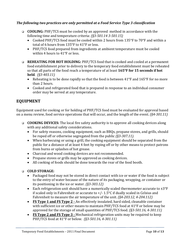#### *The following two practices are only permitted at a Food Service Type 3 classification*

- **COOLING:** PHF/TCS must be cooled by an approved method in accordance with the following time and temperature criteria: *(§3-501.14 3-501.15)*
	- Cooked PHF/TCS food must be cooled within 2 hours from 135°F to 70°F and within a total of 6 hours from 135°F to 41°F or less.
	- PHF/TCS food prepared from ingredients at ambient temperature must be cooled within 4 hours to 41°F or less.
- **REHEATING FOR HOT HOLDING:** PHF/TCS food that is cooked and cooled at a permanent food establishment prior to delivery to the temporary food establishment must be reheated so that all parts of the food reach a temperature of at least **165°F for 15 seconds if hot held**. *(§3-403.11)*
	- Reheating is to be done rapidly so that the food is between  $41^{\circ}$ F and  $165^{\circ}$ F for no more than 2 hours.
	- Cooked and refrigerated food that is prepared in response to an individual consumer order may be served at any temperature.

## **EQUIPMENT**

Equipment used for cooking or for holding of PHF/TCS food must be evaluated for approval based on a menu review, food service operations that will occur, and the length of the event. *(§4-301.11)*

- **COOKING DEVICES:** The local fire safety authority is to approve all cooking devices along with any additional safety considerations.
	- For safety reasons, cooking equipment, such as BBQs, propane stoves, and grills, should be roped off or otherwise segregated from the public *(§3-307.11).*
	- When barbecuing or using a grill, the cooking equipment should be separated from the public for a distance of at least 4 feet by roping off or by other means to protect patrons from burns or splashes of hot grease.
	- Charcoal and wood cooking devices are not recommended.
	- Propane stoves or grills may be approved as cooking devices.
	- All cooking of foods should be done towards the rear of the food booth.

#### **COLD STORAGE:**

- Packaged food may not be stored in direct contact with ice or water if the food is subject to the entry of water because of the nature of its packaging, wrapping, or container or its positioning in the ice or water. *(§3-303.12)*
- Each refrigeration unit should have a numerically scaled thermometer accurate to  $\pm 3^{\circ}F$ if scaled only in Fahrenheit or accurate to +/- 1.5°C if dually scaled in Celsius and Fahrenheit to measure the air temperature of the unit. *(§4-203.12, 4-204.112)*
- **FS Type 1 and FS Type 2 -** An effectively insulated, hard sided, cleanable container with sufficient ice or other means to maintain PHF/TCS food at 41°F or below may be approved for the storage of small quantities of PHF/TCS food. *(§3-501.16, 4-301.11)*
- **FS Type 2 and FS Type 3 -** Mechanical refrigeration units may be required to keep PHF/TCS food at 41°F or below. *(§3-501.16, 4-301.11)*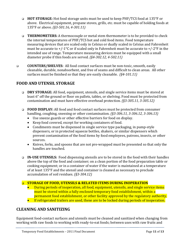- **HOT STORAGE:** Hot food storage units must be used to keep PHF/TCS food at 135°F or above. Electrical equipment, propane stoves, grills, etc. must be capable of holding foods at 135°F or above. *(§3-501.16, 4-301.11)*
- **THERMOMETERS:** A thermocouple or metal stem thermometer is to be provided to check the internal temperatures of PHF/TCS hot and cold food items. Food temperature measuring devices that are scaled only in Celsius or dually scaled in Celsius and Fahrenheit must be accurate to  $+/-1$ °C or if scaled only in Fahrenheit must be accurate to  $+/-2$ °F in the intended use of range. Temperature measuring devices must be equipped with a small diameter probe if thin foods are served. *(§4-302.12, 4-502.11)*
- **COUNTERS/SHELVES:** All food contact surfaces must be non-toxic, smooth, easily cleanable, durable, nonabsorbent, and free of seams and difficult to clean areas. All other surfaces must be finished so that they are easily cleanable. *(§4-101.11)*

## **FOOD AND UTENSIL STORAGE**

- **DRY STORAGE:** All food, equipment, utensils, and single service items must be stored at least 6" off the ground or floor on pallets, tables, or shelving. Food must be protected from contamination and must have effective overhead protection. *(§3-305.11, 3-305.12)*
- **FOOD DISPLAY:** All food and food contact surfaces must be protected from consumer handling, coughing, sneezing or other contamination*. (§3-306.11, 3-306.12, 3-306.13)*
	- Use sneeze guards or other effective barriers for food on display.
	- Keep food covered, except for working containers of food.
	- Condiments must be dispensed in single service type packaging, in pump-style dispensers, or in protected squeeze bottles, shakers, or similar dispensers which prevent contamination of the food items by food employees, patrons, insects, or other sources.
	- Knives, forks, and spoons that are not pre-wrapped must be presented so that only the handles are touched.
- **IN-USE UTENSILS:** Food dispensing utensils are to be stored in the food with their handles above the top of the food and container; on a clean portion of the food preparation table or cooking equipment; or in a container of water if the water is maintained at a temperature of at least 135°F and the utensil and container is cleaned as necessary to preclude accumulation of soil residues. *(§3-304.12)*

#### **STORAGE OF FOOD, UTENSILS & RELATED ITEMS DURING INOPERATION**

- During periods of inoperation, all food, equipment, utensils, and single service items must be stored within a fully enclosed temporary food establishment, within a permanent food establishment, or other facility approved by the regulatory authority.
- **If refrigerated trailers are used, these are to be locked during periods of inoperation.**

#### **CLEANING AND SANITIZING**

Equipment food-contact surfaces and utensils must be cleaned and sanitized when changing from working with raw foods to working with ready-to-eat foods; between uses with raw fruits and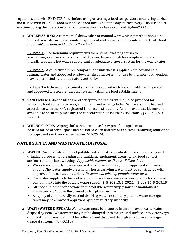vegetables and with PHF/TCS food; before using or storing a food temperature measuring device; and if used with PHF/TCS food must be cleaned throughout the day at least every 4 hours; and at any time during the operation when contamination may have occurred. *(§4-602.11)*

 **WAREWASHING:** A commercial dishwasher or manual warewashing method should be utilized to wash, rinse, and sanitize equipment and utensils coming into contact with food. *(applicable sections in Chapter 4 Food Code)*

**FS Type 1 -** The minimum requirements for a utensil washing set-up to wash/rinse/sanitize should consist of 3 basins, large enough for complete immersion of utensils, a potable hot water supply, and an adequate disposal system for the wastewater.

**FS Type 2 -** A centralized three compartment sink that is supplied with hot and cold running water and approved wastewater disposal system for use by multiple food vendors may be permitted by the regulatory authority.

**FS Type 3 –** A three compartment sink that is supplied with hot and cold running water and approved wastewater disposal system within the food establishment.

- **SANITIZING:** Chlorine bleach or other approved sanitizers should be provided for sanitizing food contact surfaces, equipment, and wiping cloths. Sanitizers must be used in accordance with the EPA-registered label use instructions. An approved test kit must be available to accurately measure the concentration of sanitizing solutions. *(§4-501.116, 4- 703.11)*
- **WIPING CLOTHS:** Wiping cloths that are in use for wiping food spills must be used for no other purpose and be stored clean and dry or in a clean sanitizing solution at the approved sanitizer concentration. *(§3-304.14)*

## **WATER SUPPLY AND WASTEWATER DISPOSAL**

- **WATER:** An adequate supply of potable water must be available on site for cooking and drinking purposes; for cleaning and sanitizing equipment, utensils, and food contact surfaces; and for handwashing. *(applicable sections in Chapter 5 Food Code)*
	- Water must come from an approved public water supply or an approved well water supply. The water supply system and hoses carrying water must be constructed with approved food contact materials. *Recommend labeling potable water hose.*
	- The water supply is to be protected with backflow devices to preclude the backflow of contaminants into the potable water supply. (§5-202.13, 5-202.14, 5-203.14, 5-203.15)
	- All hose and other connections to the potable water supply must be maintained a minimum of 6" above the ground or top plane surface.
	- A supply of commercially bottled drinking water or sanitary potable water storage tanks may be allowed if approved by the regulatory authority.
- **WASTEWATER DISPOSAL:** Wastewater must be disposed in an approved waste water disposal system. Wastewater may not be dumped onto the ground surface, into waterways, or into storm drains; but must be collected and disposed through an approved sewage disposal system. (§5-402.13)